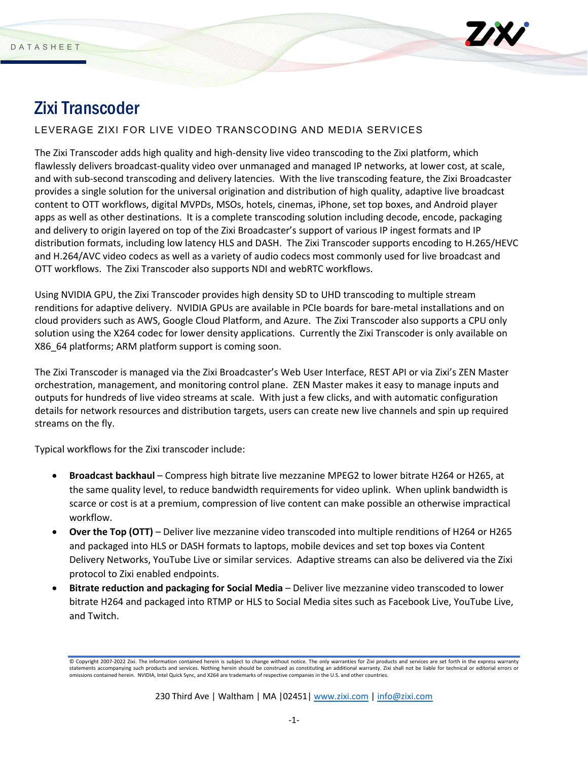

# Zixi Transcoder

# LEVERAGE ZIXI FOR LIVE VIDEO TRANSCODING AND MEDIA SERVICES

The Zixi Transcoder adds high quality and high-density live video transcoding to the Zixi platform, which flawlessly delivers broadcast-quality video over unmanaged and managed IP networks, at lower cost, at scale, and with sub-second transcoding and delivery latencies. With the live transcoding feature, the Zixi Broadcaster provides a single solution for the universal origination and distribution of high quality, adaptive live broadcast content to OTT workflows, digital MVPDs, MSOs, hotels, cinemas, iPhone, set top boxes, and Android player apps as well as other destinations. It is a complete transcoding solution including decode, encode, packaging and delivery to origin layered on top of the Zixi Broadcaster's support of various IP ingest formats and IP distribution formats, including low latency HLS and DASH. The Zixi Transcoder supports encoding to H.265/HEVC and H.264/AVC video codecs as well as a variety of audio codecs most commonly used for live broadcast and OTT workflows. The Zixi Transcoder also supports NDI and webRTC workflows.

Using NVIDIA GPU, the Zixi Transcoder provides high density SD to UHD transcoding to multiple stream renditions for adaptive delivery. NVIDIA GPUs are available in PCIe boards for bare-metal installations and on cloud providers such as AWS, Google Cloud Platform, and Azure. The Zixi Transcoder also supports a CPU only solution using the X264 codec for lower density applications. Currently the Zixi Transcoder is only available on X86\_64 platforms; ARM platform support is coming soon.

The Zixi Transcoder is managed via the Zixi Broadcaster's Web User Interface, REST API or via Zixi's ZEN Master orchestration, management, and monitoring control plane. ZEN Master makes it easy to manage inputs and outputs for hundreds of live video streams at scale. With just a few clicks, and with automatic configuration details for network resources and distribution targets, users can create new live channels and spin up required streams on the fly.

Typical workflows for the Zixi transcoder include:

- **Broadcast backhaul** Compress high bitrate live mezzanine MPEG2 to lower bitrate H264 or H265, at the same quality level, to reduce bandwidth requirements for video uplink. When uplink bandwidth is scarce or cost is at a premium, compression of live content can make possible an otherwise impractical workflow.
- **Over the Top (OTT)**  Deliver live mezzanine video transcoded into multiple renditions of H264 or H265 and packaged into HLS or DASH formats to laptops, mobile devices and set top boxes via Content Delivery Networks, YouTube Live or similar services. Adaptive streams can also be delivered via the Zixi protocol to Zixi enabled endpoints.
- **Bitrate reduction and packaging for Social Media** Deliver live mezzanine video transcoded to lower bitrate H264 and packaged into RTMP or HLS to Social Media sites such as Facebook Live, YouTube Live, and Twitch.

<sup>©</sup> Copyright 2007-2022 Zixi. The information contained herein is subject to change without notice. The only warranties for Zixi products and services are set forth in the express warranty ents accompanying such products and services. Nothing herein should be construed as constituting an additional warranty. Zixi shall not be liable for technical or editorial errors o omissions contained herein. NVIDIA, Intel Quick Sync, and X264 are trademarks of respective companies in the U.S. and other countries.